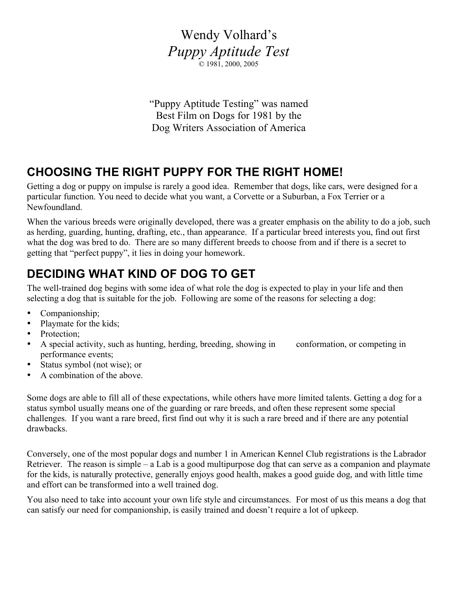

"Puppy Aptitude Testing" was named Best Film on Dogs for 1981 by the Dog Writers Association of America

### **CHOOSING THE RIGHT PUPPY FOR THE RIGHT HOME!**

Getting a dog or puppy on impulse is rarely a good idea. Remember that dogs, like cars, were designed for a particular function. You need to decide what you want, a Corvette or a Suburban, a Fox Terrier or a Newfoundland.

When the various breeds were originally developed, there was a greater emphasis on the ability to do a job, such as herding, guarding, hunting, drafting, etc., than appearance. If a particular breed interests you, find out first what the dog was bred to do. There are so many different breeds to choose from and if there is a secret to getting that "perfect puppy", it lies in doing your homework.

# **DECIDING WHAT KIND OF DOG TO GET**

The well-trained dog begins with some idea of what role the dog is expected to play in your life and then selecting a dog that is suitable for the job. Following are some of the reasons for selecting a dog:

- Companionship;
- Playmate for the kids;
- Protection:
- A special activity, such as hunting, herding, breeding, showing in conformation, or competing in performance events;
- Status symbol (not wise); or
- A combination of the above.

Some dogs are able to fill all of these expectations, while others have more limited talents. Getting a dog for a status symbol usually means one of the guarding or rare breeds, and often these represent some special challenges. If you want a rare breed, first find out why it is such a rare breed and if there are any potential drawbacks.

Conversely, one of the most popular dogs and number 1 in American Kennel Club registrations is the Labrador Retriever. The reason is simple – a Lab is a good multipurpose dog that can serve as a companion and playmate for the kids, is naturally protective, generally enjoys good health, makes a good guide dog, and with little time and effort can be transformed into a well trained dog.

You also need to take into account your own life style and circumstances. For most of us this means a dog that can satisfy our need for companionship, is easily trained and doesn't require a lot of upkeep.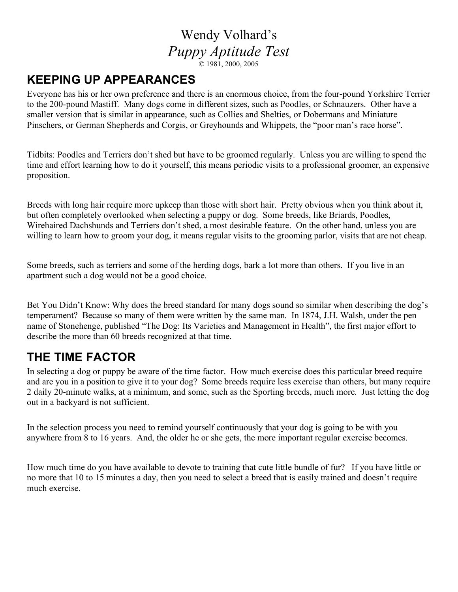# **KEEPING UP APPEARANCES**

Everyone has his or her own preference and there is an enormous choice, from the four-pound Yorkshire Terrier to the 200-pound Mastiff. Many dogs come in different sizes, such as Poodles, or Schnauzers. Other have a smaller version that is similar in appearance, such as Collies and Shelties, or Dobermans and Miniature Pinschers, or German Shepherds and Corgis, or Greyhounds and Whippets, the "poor man's race horse".

Tidbits: Poodles and Terriers don't shed but have to be groomed regularly. Unless you are willing to spend the time and effort learning how to do it yourself, this means periodic visits to a professional groomer, an expensive proposition.

Breeds with long hair require more upkeep than those with short hair. Pretty obvious when you think about it, but often completely overlooked when selecting a puppy or dog. Some breeds, like Briards, Poodles, Wirehaired Dachshunds and Terriers don't shed, a most desirable feature. On the other hand, unless you are willing to learn how to groom your dog, it means regular visits to the grooming parlor, visits that are not cheap.

Some breeds, such as terriers and some of the herding dogs, bark a lot more than others. If you live in an apartment such a dog would not be a good choice.

Bet You Didn't Know: Why does the breed standard for many dogs sound so similar when describing the dog's temperament? Because so many of them were written by the same man. In 1874, J.H. Walsh, under the pen name of Stonehenge, published "The Dog: Its Varieties and Management in Health", the first major effort to describe the more than 60 breeds recognized at that time.

### **THE TIME FACTOR**

In selecting a dog or puppy be aware of the time factor. How much exercise does this particular breed require and are you in a position to give it to your dog? Some breeds require less exercise than others, but many require 2 daily 20-minute walks, at a minimum, and some, such as the Sporting breeds, much more. Just letting the dog out in a backyard is not sufficient.

In the selection process you need to remind yourself continuously that your dog is going to be with you anywhere from 8 to 16 years. And, the older he or she gets, the more important regular exercise becomes.

How much time do you have available to devote to training that cute little bundle of fur? If you have little or no more that 10 to 15 minutes a day, then you need to select a breed that is easily trained and doesn't require much exercise.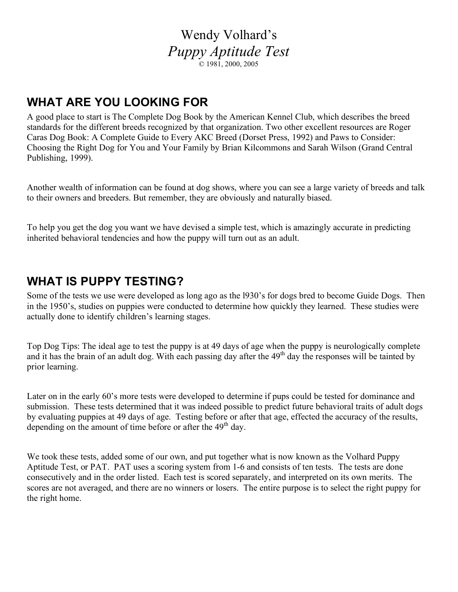### **WHAT ARE YOU LOOKING FOR**

A good place to start is The Complete Dog Book by the American Kennel Club, which describes the breed standards for the different breeds recognized by that organization. Two other excellent resources are Roger Caras Dog Book: A Complete Guide to Every AKC Breed (Dorset Press, 1992) and Paws to Consider: Choosing the Right Dog for You and Your Family by Brian Kilcommons and Sarah Wilson (Grand Central Publishing, 1999).

Another wealth of information can be found at dog shows, where you can see a large variety of breeds and talk to their owners and breeders. But remember, they are obviously and naturally biased.

To help you get the dog you want we have devised a simple test, which is amazingly accurate in predicting inherited behavioral tendencies and how the puppy will turn out as an adult.

### **WHAT IS PUPPY TESTING?**

Some of the tests we use were developed as long ago as the l930's for dogs bred to become Guide Dogs. Then in the 1950's, studies on puppies were conducted to determine how quickly they learned. These studies were actually done to identify children's learning stages.

Top Dog Tips: The ideal age to test the puppy is at 49 days of age when the puppy is neurologically complete and it has the brain of an adult dog. With each passing day after the  $49<sup>th</sup>$  day the responses will be tainted by prior learning.

Later on in the early 60's more tests were developed to determine if pups could be tested for dominance and submission. These tests determined that it was indeed possible to predict future behavioral traits of adult dogs by evaluating puppies at 49 days of age. Testing before or after that age, effected the accuracy of the results, depending on the amount of time before or after the  $49<sup>th</sup>$  day.

We took these tests, added some of our own, and put together what is now known as the Volhard Puppy Aptitude Test, or PAT. PAT uses a scoring system from 1-6 and consists of ten tests. The tests are done consecutively and in the order listed. Each test is scored separately, and interpreted on its own merits. The scores are not averaged, and there are no winners or losers. The entire purpose is to select the right puppy for the right home.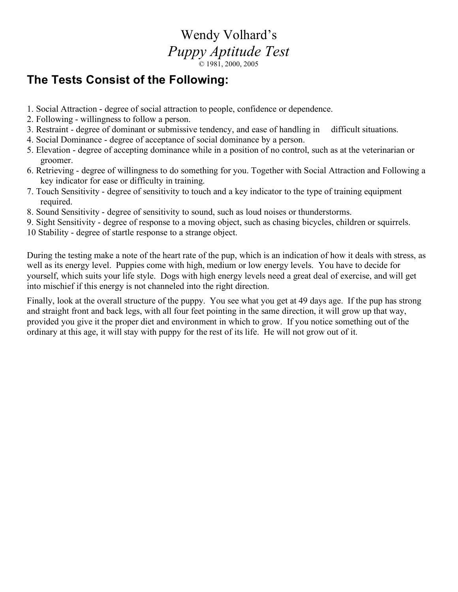### **The Tests Consist of the Following:**

- 1. Social Attraction degree of social attraction to people, confidence or dependence.
- 2. Following willingness to follow a person.
- 3. Restraint degree of dominant or submissive tendency, and ease of handling in difficult situations.
- 4. Social Dominance degree of acceptance of social dominance by a person.
- 5. Elevation degree of accepting dominance while in a position of no control, such as at the veterinarian or groomer.
- 6. Retrieving degree of willingness to do something for you. Together with Social Attraction and Following a key indicator for ease or difficulty in training.
- 7. Touch Sensitivity degree of sensitivity to touch and a key indicator to the type of training equipment required.
- 8. Sound Sensitivity degree of sensitivity to sound, such as loud noises or thunderstorms.
- 9. Sight Sensitivity degree of response to a moving object, such as chasing bicycles, children or squirrels.
- 10 Stability degree of startle response to a strange object.

During the testing make a note of the heart rate of the pup, which is an indication of how it deals with stress, as well as its energy level. Puppies come with high, medium or low energy levels. You have to decide for yourself, which suits your life style. Dogs with high energy levels need a great deal of exercise, and will get into mischief if this energy is not channeled into the right direction.

Finally, look at the overall structure of the puppy. You see what you get at 49 days age. If the pup has strong and straight front and back legs, with all four feet pointing in the same direction, it will grow up that way, provided you give it the proper diet and environment in which to grow. If you notice something out of the ordinary at this age, it will stay with puppy for the rest of its life. He will not grow out of it.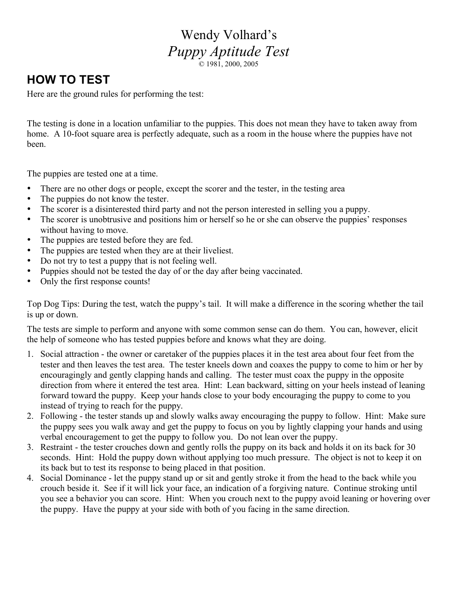$\sim$  1981, 2000, 2005

# **HOW TO TEST**

Here are the ground rules for performing the test:

The testing is done in a location unfamiliar to the puppies. This does not mean they have to taken away from home. A 10-foot square area is perfectly adequate, such as a room in the house where the puppies have not been.

The puppies are tested one at a time.

- There are no other dogs or people, except the scorer and the tester, in the testing area
- The puppies do not know the tester.
- The scorer is a disinterested third party and not the person interested in selling you a puppy.
- The scorer is unobtrusive and positions him or herself so he or she can observe the puppies' responses without having to move.
- The puppies are tested before they are fed.
- The puppies are tested when they are at their liveliest.
- Do not try to test a puppy that is not feeling well.
- Puppies should not be tested the day of or the day after being vaccinated.
- Only the first response counts!

Top Dog Tips: During the test, watch the puppy's tail. It will make a difference in the scoring whether the tail is up or down.

The tests are simple to perform and anyone with some common sense can do them. You can, however, elicit the help of someone who has tested puppies before and knows what they are doing.

- 1. Social attraction the owner or caretaker of the puppies places it in the test area about four feet from the tester and then leaves the test area. The tester kneels down and coaxes the puppy to come to him or her by encouragingly and gently clapping hands and calling. The tester must coax the puppy in the opposite direction from where it entered the test area. Hint: Lean backward, sitting on your heels instead of leaning forward toward the puppy. Keep your hands close to your body encouraging the puppy to come to you instead of trying to reach for the puppy.
- 2. Following the tester stands up and slowly walks away encouraging the puppy to follow. Hint: Make sure the puppy sees you walk away and get the puppy to focus on you by lightly clapping your hands and using verbal encouragement to get the puppy to follow you. Do not lean over the puppy.
- 3. Restraint the tester crouches down and gently rolls the puppy on its back and holds it on its back for 30 seconds. Hint: Hold the puppy down without applying too much pressure. The object is not to keep it on its back but to test its response to being placed in that position.
- 4. Social Dominance let the puppy stand up or sit and gently stroke it from the head to the back while you crouch beside it. See if it will lick your face, an indication of a forgiving nature. Continue stroking until you see a behavior you can score. Hint: When you crouch next to the puppy avoid leaning or hovering over the puppy. Have the puppy at your side with both of you facing in the same direction.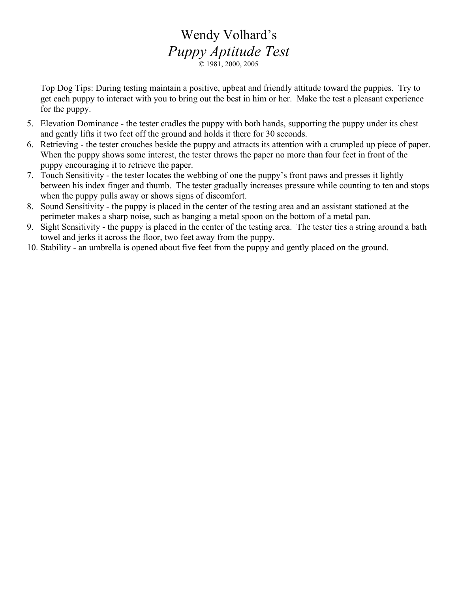Top Dog Tips: During testing maintain a positive, upbeat and friendly attitude toward the puppies. Try to get each puppy to interact with you to bring out the best in him or her. Make the test a pleasant experience for the puppy.

- 5. Elevation Dominance the tester cradles the puppy with both hands, supporting the puppy under its chest and gently lifts it two feet off the ground and holds it there for 30 seconds.
- 6. Retrieving the tester crouches beside the puppy and attracts its attention with a crumpled up piece of paper. When the puppy shows some interest, the tester throws the paper no more than four feet in front of the puppy encouraging it to retrieve the paper.
- 7. Touch Sensitivity the tester locates the webbing of one the puppy's front paws and presses it lightly between his index finger and thumb. The tester gradually increases pressure while counting to ten and stops when the puppy pulls away or shows signs of discomfort.
- 8. Sound Sensitivity the puppy is placed in the center of the testing area and an assistant stationed at the perimeter makes a sharp noise, such as banging a metal spoon on the bottom of a metal pan.
- 9. Sight Sensitivity the puppy is placed in the center of the testing area. The tester ties a string around a bath towel and jerks it across the floor, two feet away from the puppy.
- 10. Stability an umbrella is opened about five feet from the puppy and gently placed on the ground.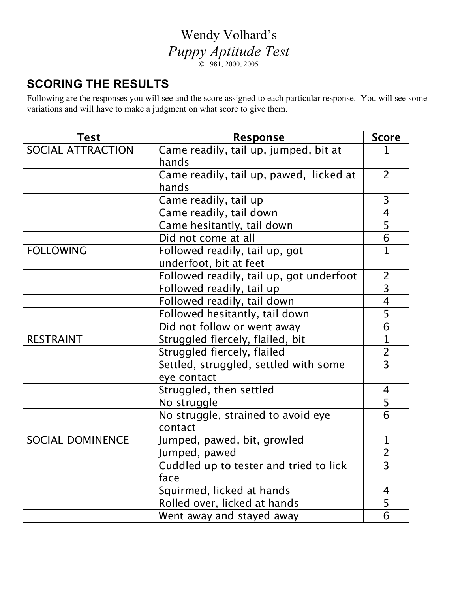© 1981, 2000, 2005

# **SCORING THE RESULTS**

Following are the responses you will see and the score assigned to each particular response. You will see some variations and will have to make a judgment on what score to give them.

| Test                     | <b>Response</b>                                | <b>Score</b>   |
|--------------------------|------------------------------------------------|----------------|
| <b>SOCIAL ATTRACTION</b> | Came readily, tail up, jumped, bit at<br>hands | 1              |
|                          | Came readily, tail up, pawed, licked at        | $\overline{2}$ |
|                          | hands                                          |                |
|                          | Came readily, tail up                          | 3              |
|                          | Came readily, tail down                        | $\overline{4}$ |
|                          | Came hesitantly, tail down                     | $\overline{5}$ |
|                          | Did not come at all                            | $\overline{6}$ |
| <b>FOLLOWING</b>         | Followed readily, tail up, got                 | $\mathbf{1}$   |
|                          | underfoot, bit at feet                         |                |
|                          | Followed readily, tail up, got underfoot       | $\overline{2}$ |
|                          | Followed readily, tail up                      | $\overline{3}$ |
|                          | Followed readily, tail down                    | $\overline{4}$ |
|                          | Followed hesitantly, tail down                 | $\overline{5}$ |
|                          | Did not follow or went away                    | $\overline{6}$ |
| <b>RESTRAINT</b>         | Struggled fiercely, flailed, bit               | $\overline{1}$ |
|                          | Struggled fiercely, flailed                    | $\overline{c}$ |
|                          | Settled, struggled, settled with some          | $\overline{3}$ |
|                          | eye contact                                    |                |
|                          | Struggled, then settled                        | 4              |
|                          | No struggle                                    | 5              |
|                          | No struggle, strained to avoid eye             | 6              |
|                          | contact                                        |                |
| <b>SOCIAL DOMINENCE</b>  | Jumped, pawed, bit, growled                    | $\mathbf{1}$   |
|                          | Jumped, pawed                                  | $\overline{2}$ |
|                          | Cuddled up to tester and tried to lick         | $\overline{3}$ |
|                          | face                                           |                |
|                          | Squirmed, licked at hands                      | $\overline{4}$ |
|                          | Rolled over, licked at hands                   | 5              |
|                          | Went away and stayed away                      | $\overline{6}$ |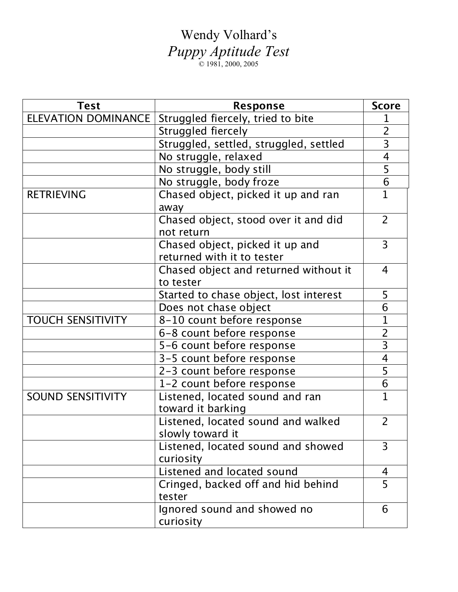© 1981, 2000, 2005

| <b>Test</b>                | <b>Response</b>                                               | <b>Score</b>   |
|----------------------------|---------------------------------------------------------------|----------------|
| <b>ELEVATION DOMINANCE</b> | Struggled fiercely, tried to bite                             | 1              |
|                            | Struggled fiercely                                            | $\overline{2}$ |
|                            | Struggled, settled, struggled, settled                        | $\overline{3}$ |
|                            | No struggle, relaxed                                          | $\overline{4}$ |
|                            | No struggle, body still                                       | $\overline{5}$ |
|                            | No struggle, body froze                                       | $\overline{6}$ |
| <b>RETRIEVING</b>          | Chased object, picked it up and ran<br>away                   | $\mathbf{1}$   |
|                            | Chased object, stood over it and did<br>not return            | $\overline{2}$ |
|                            | Chased object, picked it up and<br>returned with it to tester | 3              |
|                            | Chased object and returned without it<br>to tester            | 4              |
|                            | Started to chase object, lost interest                        | 5              |
|                            | Does not chase object                                         | 6              |
| <b>TOUCH SENSITIVITY</b>   | 8-10 count before response                                    | $\mathbf{1}$   |
|                            | 6-8 count before response                                     | $\overline{2}$ |
|                            | 5-6 count before response                                     | $\overline{3}$ |
|                            | 3-5 count before response                                     | $\overline{4}$ |
|                            | 2-3 count before response                                     | $\overline{5}$ |
|                            | 1-2 count before response                                     | 6              |
| <b>SOUND SENSITIVITY</b>   | Listened, located sound and ran<br>toward it barking          | $\mathbf{1}$   |
|                            | Listened, located sound and walked<br>slowly toward it        | $\overline{2}$ |
|                            | Listened, located sound and showed<br>curiosity               | 3              |
|                            | Listened and located sound                                    | 4              |
|                            | Cringed, backed off and hid behind<br>tester                  | 5              |
|                            | Ignored sound and showed no<br>curiosity                      | 6              |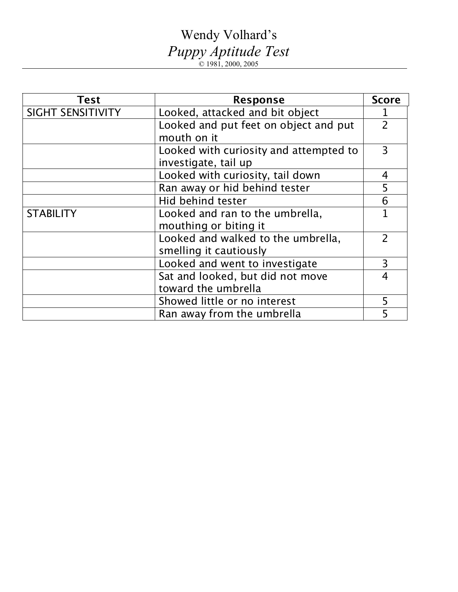| Test              | Response                                                       | <b>Score</b>   |
|-------------------|----------------------------------------------------------------|----------------|
| SIGHT SENSITIVITY | Looked, attacked and bit object                                |                |
|                   | Looked and put feet on object and put<br>mouth on it           | $\overline{2}$ |
|                   | Looked with curiosity and attempted to<br>investigate, tail up | 3              |
|                   | Looked with curiosity, tail down                               | 4              |
|                   | Ran away or hid behind tester                                  | 5              |
|                   | Hid behind tester                                              | 6              |
| <b>STABILITY</b>  | Looked and ran to the umbrella,<br>mouthing or biting it       |                |
|                   | Looked and walked to the umbrella,<br>smelling it cautiously   | $\overline{2}$ |
|                   | Looked and went to investigate                                 | 3              |
|                   | Sat and looked, but did not move                               | 4              |
|                   | toward the umbrella                                            |                |
|                   | Showed little or no interest                                   | 5              |
|                   | Ran away from the umbrella                                     | 5              |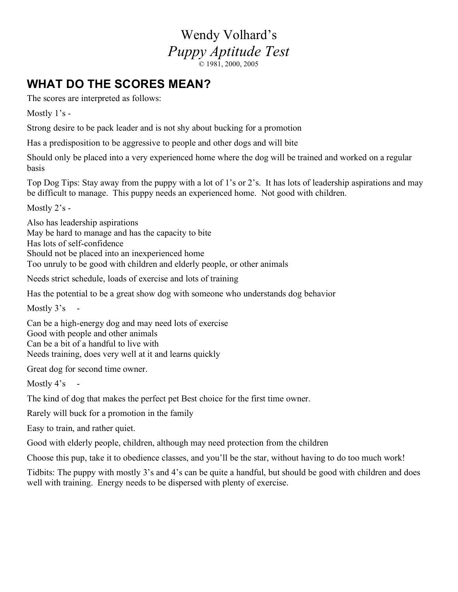### Wendy Volhard's *Puppy Aptitude Test*   $\overline{O}$  1981, 2000, 2005

# **WHAT DO THE SCORES MEAN?**

The scores are interpreted as follows:

Mostly 1's -

Strong desire to be pack leader and is not shy about bucking for a promotion

Has a predisposition to be aggressive to people and other dogs and will bite

Should only be placed into a very experienced home where the dog will be trained and worked on a regular basis

Top Dog Tips: Stay away from the puppy with a lot of 1's or 2's. It has lots of leadership aspirations and may be difficult to manage. This puppy needs an experienced home. Not good with children.

Mostly 2's -

Also has leadership aspirations May be hard to manage and has the capacity to bite Has lots of self-confidence Should not be placed into an inexperienced home Too unruly to be good with children and elderly people, or other animals

Needs strict schedule, loads of exercise and lots of training

Has the potential to be a great show dog with someone who understands dog behavior

Mostly 3's -

Can be a high-energy dog and may need lots of exercise Good with people and other animals Can be a bit of a handful to live with Needs training, does very well at it and learns quickly

Great dog for second time owner.

Mostly 4's -

The kind of dog that makes the perfect pet Best choice for the first time owner.

Rarely will buck for a promotion in the family

Easy to train, and rather quiet.

Good with elderly people, children, although may need protection from the children

Choose this pup, take it to obedience classes, and you'll be the star, without having to do too much work!

Tidbits: The puppy with mostly 3's and 4's can be quite a handful, but should be good with children and does well with training. Energy needs to be dispersed with plenty of exercise.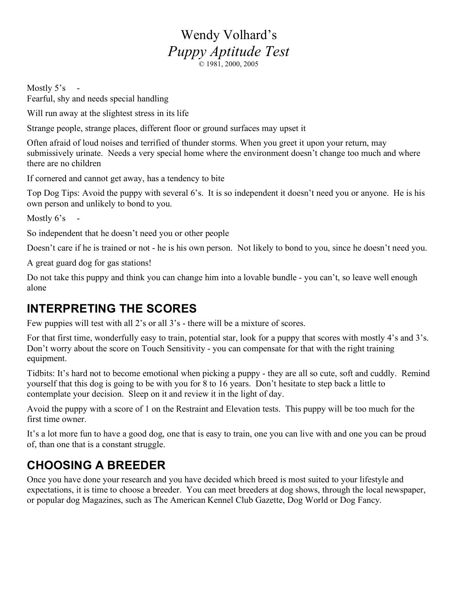$\sim$  1981, 2000, 2005

Mostly  $5's -$ 

Fearful, shy and needs special handling

Will run away at the slightest stress in its life

Strange people, strange places, different floor or ground surfaces may upset it

Often afraid of loud noises and terrified of thunder storms. When you greet it upon your return, may submissively urinate. Needs a very special home where the environment doesn't change too much and where there are no children

If cornered and cannot get away, has a tendency to bite

Top Dog Tips: Avoid the puppy with several 6's. It is so independent it doesn't need you or anyone. He is his own person and unlikely to bond to you.

Mostly  $6's$ 

So independent that he doesn't need you or other people

Doesn't care if he is trained or not - he is his own person. Not likely to bond to you, since he doesn't need you.

A great guard dog for gas stations!

Do not take this puppy and think you can change him into a lovable bundle - you can't, so leave well enough alone

### **INTERPRETING THE SCORES**

Few puppies will test with all 2's or all 3's - there will be a mixture of scores.

For that first time, wonderfully easy to train, potential star, look for a puppy that scores with mostly 4's and 3's. Don't worry about the score on Touch Sensitivity - you can compensate for that with the right training equipment.

Tidbits: It's hard not to become emotional when picking a puppy - they are all so cute, soft and cuddly. Remind yourself that this dog is going to be with you for 8 to 16 years. Don't hesitate to step back a little to contemplate your decision. Sleep on it and review it in the light of day.

Avoid the puppy with a score of 1 on the Restraint and Elevation tests. This puppy will be too much for the first time owner.

It's a lot more fun to have a good dog, one that is easy to train, one you can live with and one you can be proud of, than one that is a constant struggle.

# **CHOOSING A BREEDER**

Once you have done your research and you have decided which breed is most suited to your lifestyle and expectations, it is time to choose a breeder. You can meet breeders at dog shows, through the local newspaper, or popular dog Magazines, such as The American Kennel Club Gazette, Dog World or Dog Fancy.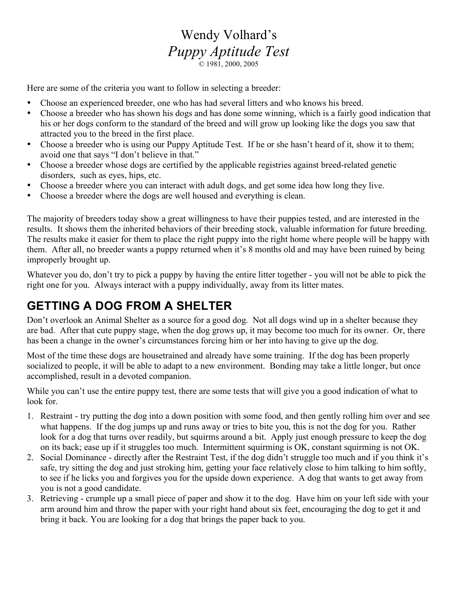Here are some of the criteria you want to follow in selecting a breeder:

- Choose an experienced breeder, one who has had several litters and who knows his breed.
- Choose a breeder who has shown his dogs and has done some winning, which is a fairly good indication that his or her dogs conform to the standard of the breed and will grow up looking like the dogs you saw that attracted you to the breed in the first place.
- Choose a breeder who is using our Puppy Aptitude Test. If he or she hasn't heard of it, show it to them; avoid one that says "I don't believe in that."
- Choose a breeder whose dogs are certified by the applicable registries against breed-related genetic disorders, such as eyes, hips, etc.
- Choose a breeder where you can interact with adult dogs, and get some idea how long they live.
- Choose a breeder where the dogs are well housed and everything is clean.

The majority of breeders today show a great willingness to have their puppies tested, and are interested in the results. It shows them the inherited behaviors of their breeding stock, valuable information for future breeding. The results make it easier for them to place the right puppy into the right home where people will be happy with them. After all, no breeder wants a puppy returned when it's 8 months old and may have been ruined by being improperly brought up.

Whatever you do, don't try to pick a puppy by having the entire litter together - you will not be able to pick the right one for you. Always interact with a puppy individually, away from its litter mates.

# **GETTING A DOG FROM A SHELTER**

Don't overlook an Animal Shelter as a source for a good dog. Not all dogs wind up in a shelter because they are bad. After that cute puppy stage, when the dog grows up, it may become too much for its owner. Or, there has been a change in the owner's circumstances forcing him or her into having to give up the dog.

Most of the time these dogs are housetrained and already have some training. If the dog has been properly socialized to people, it will be able to adapt to a new environment. Bonding may take a little longer, but once accomplished, result in a devoted companion.

While you can't use the entire puppy test, there are some tests that will give you a good indication of what to look for.

- 1. Restraint try putting the dog into a down position with some food, and then gently rolling him over and see what happens. If the dog jumps up and runs away or tries to bite you, this is not the dog for you. Rather look for a dog that turns over readily, but squirms around a bit. Apply just enough pressure to keep the dog on its back; ease up if it struggles too much. Intermittent squirming is OK, constant squirming is not OK.
- 2. Social Dominance directly after the Restraint Test, if the dog didn't struggle too much and if you think it's safe, try sitting the dog and just stroking him, getting your face relatively close to him talking to him softly, to see if he licks you and forgives you for the upside down experience. A dog that wants to get away from you is not a good candidate.
- 3. Retrieving crumple up a small piece of paper and show it to the dog. Have him on your left side with your arm around him and throw the paper with your right hand about six feet, encouraging the dog to get it and bring it back. You are looking for a dog that brings the paper back to you.